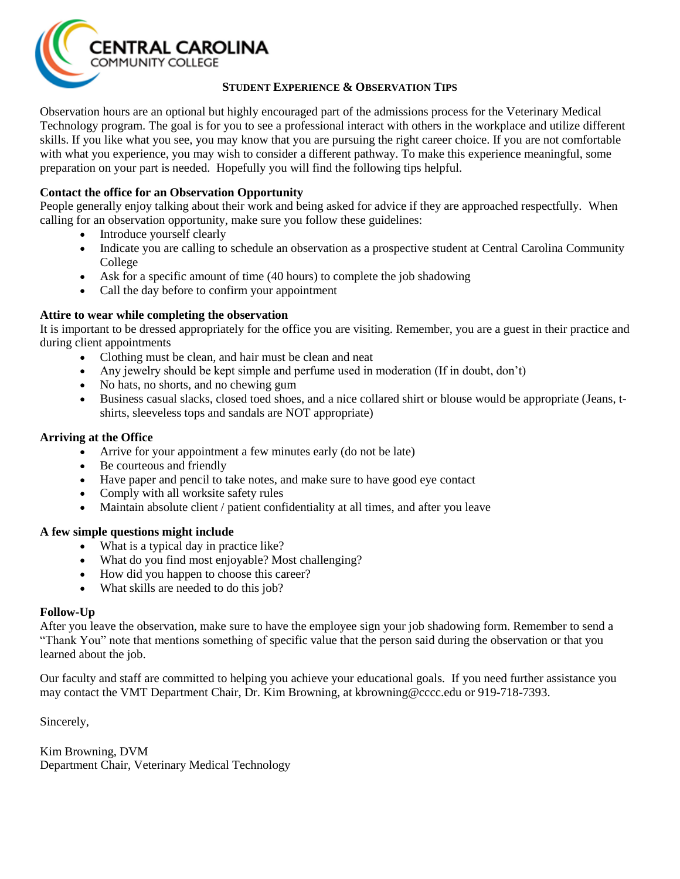

#### **STUDENT EXPERIENCE & OBSERVATION TIPS**

Observation hours are an optional but highly encouraged part of the admissions process for the Veterinary Medical Technology program. The goal is for you to see a professional interact with others in the workplace and utilize different skills. If you like what you see, you may know that you are pursuing the right career choice. If you are not comfortable with what you experience, you may wish to consider a different pathway. To make this experience meaningful, some preparation on your part is needed. Hopefully you will find the following tips helpful.

## **Contact the office for an Observation Opportunity**

People generally enjoy talking about their work and being asked for advice if they are approached respectfully. When calling for an observation opportunity, make sure you follow these guidelines:

- Introduce yourself clearly
- Indicate you are calling to schedule an observation as a prospective student at Central Carolina Community College
- Ask for a specific amount of time (40 hours) to complete the job shadowing
- Call the day before to confirm your appointment

### **Attire to wear while completing the observation**

It is important to be dressed appropriately for the office you are visiting. Remember, you are a guest in their practice and during client appointments

- Clothing must be clean, and hair must be clean and neat
- Any jewelry should be kept simple and perfume used in moderation (If in doubt, don't)
- No hats, no shorts, and no chewing gum
- Business casual slacks, closed toed shoes, and a nice collared shirt or blouse would be appropriate (Jeans, tshirts, sleeveless tops and sandals are NOT appropriate)

#### **Arriving at the Office**

- Arrive for your appointment a few minutes early (do not be late)
- Be courteous and friendly
- Have paper and pencil to take notes, and make sure to have good eye contact
- Comply with all worksite safety rules
- Maintain absolute client / patient confidentiality at all times, and after you leave

#### **A few simple questions might include**

- What is a typical day in practice like?
- What do you find most enjoyable? Most challenging?
- How did you happen to choose this career?
- What skills are needed to do this job?

#### **Follow-Up**

After you leave the observation, make sure to have the employee sign your job shadowing form. Remember to send a "Thank You" note that mentions something of specific value that the person said during the observation or that you learned about the job.

Our faculty and staff are committed to helping you achieve your educational goals. If you need further assistance you may contact the VMT Department Chair, Dr. Kim Browning, at kbrowning@cccc.edu or 919-718-7393.

Sincerely,

Kim Browning, DVM Department Chair, Veterinary Medical Technology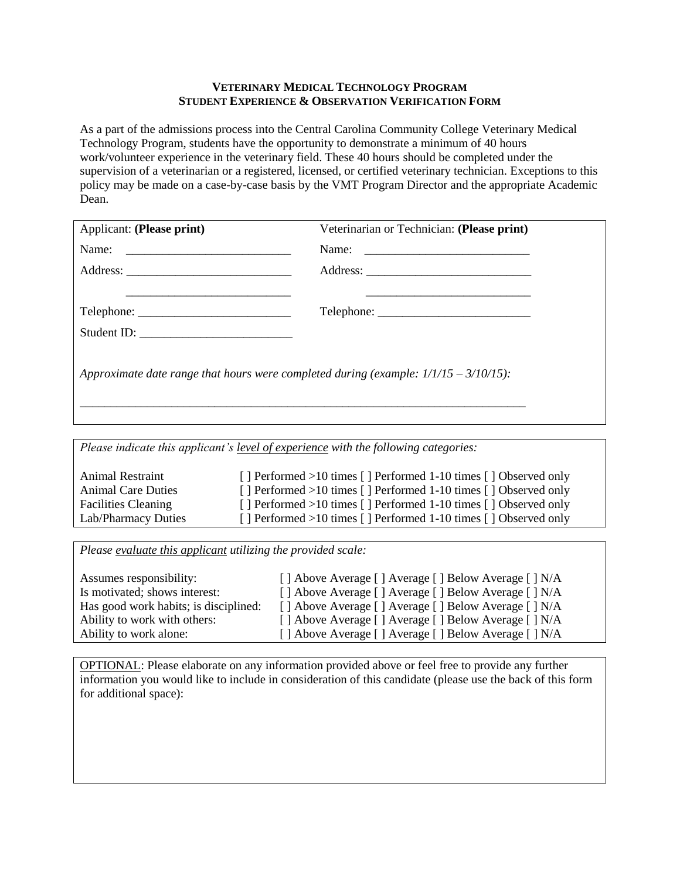#### **VETERINARY MEDICAL TECHNOLOGY PROGRAM STUDENT EXPERIENCE & OBSERVATION VERIFICATION FORM**

As a part of the admissions process into the Central Carolina Community College Veterinary Medical Technology Program, students have the opportunity to demonstrate a minimum of 40 hours work/volunteer experience in the veterinary field. These 40 hours should be completed under the supervision of a veterinarian or a registered, licensed, or certified veterinary technician. Exceptions to this policy may be made on a case-by-case basis by the VMT Program Director and the appropriate Academic Dean.

| Applicant: (Please print)                                                               | Veterinarian or Technician: (Please print)                                                                                                                                                                                                                                                                                                                                                                                                                                                                                                                          |  |  |  |
|-----------------------------------------------------------------------------------------|---------------------------------------------------------------------------------------------------------------------------------------------------------------------------------------------------------------------------------------------------------------------------------------------------------------------------------------------------------------------------------------------------------------------------------------------------------------------------------------------------------------------------------------------------------------------|--|--|--|
|                                                                                         |                                                                                                                                                                                                                                                                                                                                                                                                                                                                                                                                                                     |  |  |  |
|                                                                                         |                                                                                                                                                                                                                                                                                                                                                                                                                                                                                                                                                                     |  |  |  |
|                                                                                         |                                                                                                                                                                                                                                                                                                                                                                                                                                                                                                                                                                     |  |  |  |
| Telephone:                                                                              | $\text{Telephone:}\n \underline{\hspace{2cm}}\n \underline{\hspace{2cm}}\n \underline{\hspace{2cm}}\n \underline{\hspace{2cm}}\n \underline{\hspace{2cm}}\n \underline{\hspace{2cm}}\n \underline{\hspace{2cm}}\n \underline{\hspace{2cm}}\n \underline{\hspace{2cm}}\n \underline{\hspace{2cm}}\n \underline{\hspace{2cm}}\n \underline{\hspace{2cm}}\n \underline{\hspace{2cm}}\n \underline{\hspace{2cm}}\n \underline{\hspace{2cm}}\n \underline{\hspace{2cm}}\n \underline{\hspace{2cm}}\n \underline{\hspace{2cm}}\n \underline{\hspace{2cm}}\n \underline{\$ |  |  |  |
|                                                                                         |                                                                                                                                                                                                                                                                                                                                                                                                                                                                                                                                                                     |  |  |  |
| Approximate date range that hours were completed during (example: $1/1/15 - 3/10/15$ ): |                                                                                                                                                                                                                                                                                                                                                                                                                                                                                                                                                                     |  |  |  |

*Please indicate this applicant's level of experience with the following categories:*

| Animal Restraint           | [] Performed >10 times [] Performed 1-10 times [] Observed only |
|----------------------------|-----------------------------------------------------------------|
| <b>Animal Care Duties</b>  | [] Performed >10 times [] Performed 1-10 times [] Observed only |
| <b>Facilities Cleaning</b> | [] Performed >10 times [] Performed 1-10 times [] Observed only |
| Lab/Pharmacy Duties        | [] Performed >10 times [] Performed 1-10 times [] Observed only |

*Please evaluate this applicant utilizing the provided scale:*

| Assumes responsibility:               | [] Above Average [] Average [] Below Average [] N/A |
|---------------------------------------|-----------------------------------------------------|
| Is motivated; shows interest:         | [] Above Average [] Average [] Below Average [] N/A |
| Has good work habits; is disciplined: | [] Above Average [] Average [] Below Average [] N/A |
| Ability to work with others:          | [] Above Average [] Average [] Below Average [] N/A |
| Ability to work alone:                | [] Above Average [] Average [] Below Average [] N/A |

OPTIONAL: Please elaborate on any information provided above or feel free to provide any further information you would like to include in consideration of this candidate (please use the back of this form for additional space):